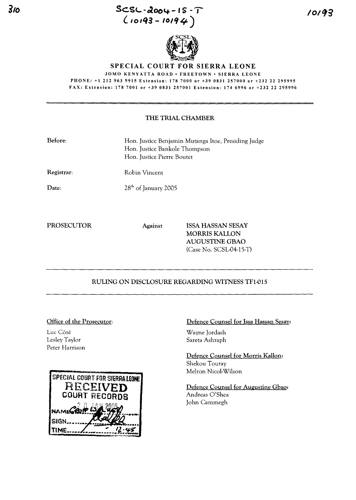**Sc.s<... -12004 - IS - J**  $(10193 - 10194)$ 



#### **SPECIAL COURT FOR SIERRA LEONE** JOMO KENYATTA ROAD· FREETOWN· SIERRA LEONE

PHONE: +1212963 9915 Extension: 1787000 or +39 0831 257000 or +232 22 295995

FAX: Extension: 1787001 or +39 0831257001 Extension: 1746996 or +23222295996

### THE TRIAL CHAMBER

| Before: | Hon. Justice Benjamin Mutanga Itoe, Presiding Judge |
|---------|-----------------------------------------------------|
|         | Hon. Justice Bankole Thompson                       |
|         | Hon. Justice Pierre Boutet                          |

Registrar:

Date:

Robin Vincent 28<sup>th</sup> of January 2005

### PROSECUTOR Against ISSA HASSAN SESAY MORRIS KALLON AUGUSTINE GBAO (Case No. SCSL-04-15-T)

# RULING ON DISCLOSURE REGARDING WITNESS TF1-015

### Office of the Prosecutor:

Luc Côté Lesley Taylor Peter Harrison



Defence Counsel for lssa Hassan Sesay:

Wayne Jordash Sareta Ashraph

Defence Counsel for Morris Kallon: Shekou Touray Mehon Nicol-Wilson

Defence Counsel for Augustine Gbao: Andreas O'Shea John Cammegh